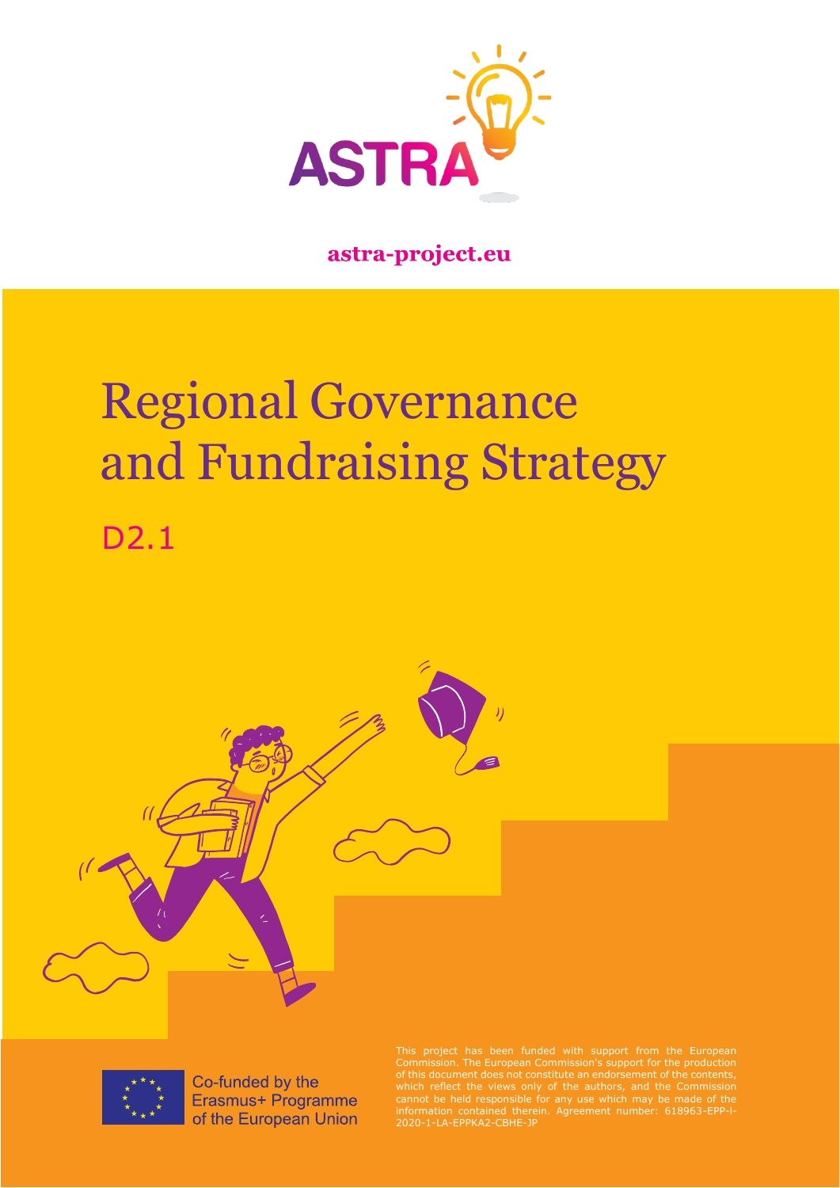

### astra-project.eu

# Regional Governance and Fundraising Strategy D2.1



Co-funded by the Erasmus+ Programme of the European Union

This project has been funded with support from the European Commission. The European Commission's support for the production of this document does not constitute an endorsement of the contents, which reflect the views only of the authors, and the Commission cannot be held responsible for any use which may be made of the information contained therein. Agreement number: 618963-EPP-l-2020-1-LA-EPPKA2-CBHE-JP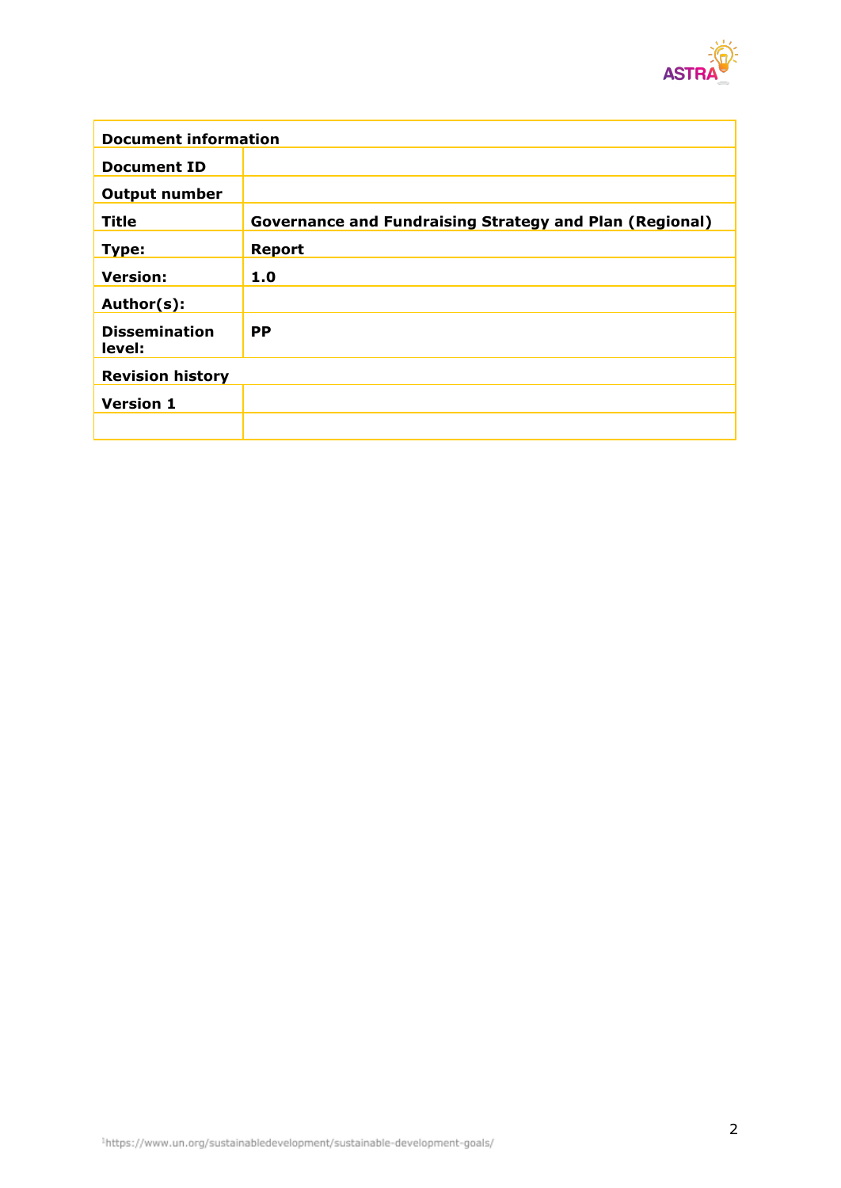

| <b>Document information</b>    |                                                                |  |  |  |
|--------------------------------|----------------------------------------------------------------|--|--|--|
| <b>Document ID</b>             |                                                                |  |  |  |
| <b>Output number</b>           |                                                                |  |  |  |
| Title                          | <b>Governance and Fundraising Strategy and Plan (Regional)</b> |  |  |  |
| Type:                          | <b>Report</b>                                                  |  |  |  |
| <b>Version:</b>                | 1.0                                                            |  |  |  |
| Author(s):                     |                                                                |  |  |  |
| <b>Dissemination</b><br>level: | <b>PP</b>                                                      |  |  |  |
| <b>Revision history</b>        |                                                                |  |  |  |
| <b>Version 1</b>               |                                                                |  |  |  |
|                                |                                                                |  |  |  |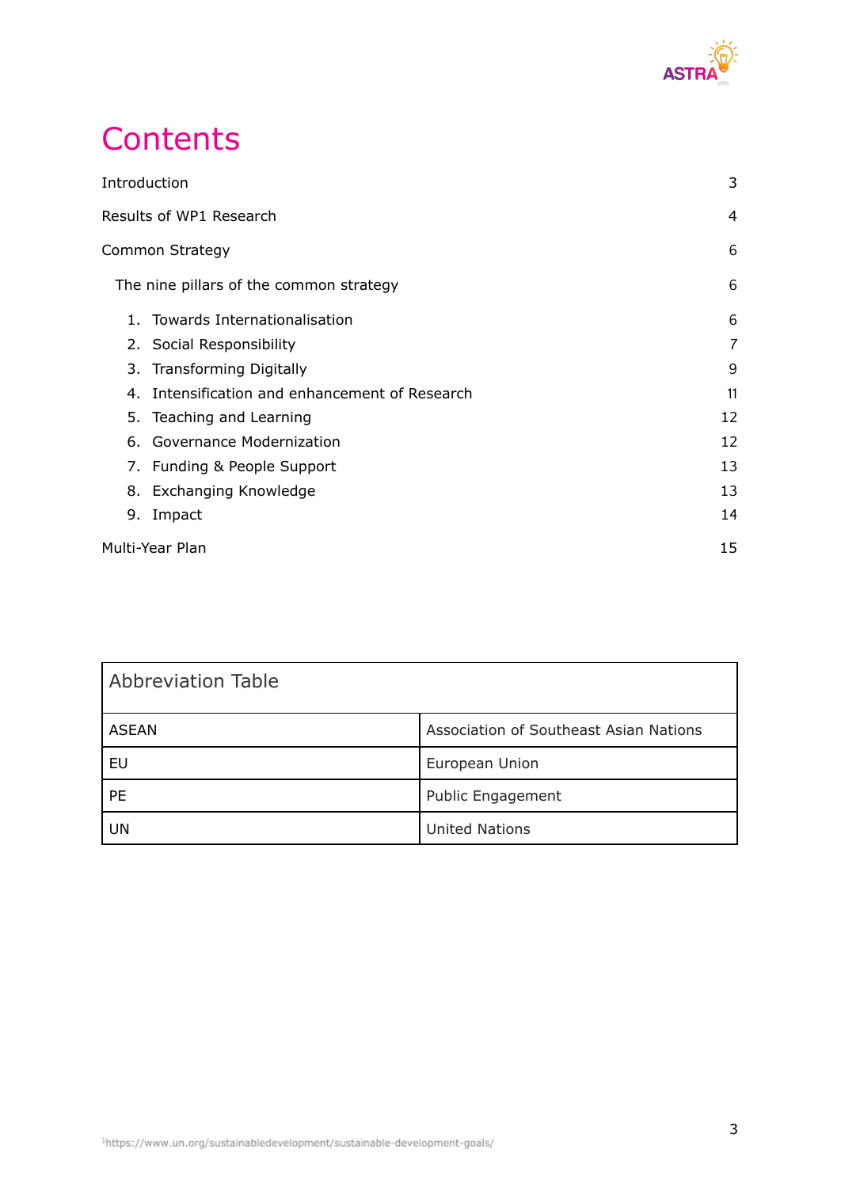

## **Contents**

| Introduction            | 3                                              |    |  |
|-------------------------|------------------------------------------------|----|--|
| Results of WP1 Research |                                                |    |  |
| Common Strategy         |                                                |    |  |
|                         | The nine pillars of the common strategy        | 6  |  |
|                         | 1. Towards Internationalisation                | 6  |  |
|                         | 2. Social Responsibility                       | 7  |  |
|                         | 3. Transforming Digitally                      | 9  |  |
|                         | 4. Intensification and enhancement of Research | 11 |  |
|                         | 5. Teaching and Learning                       | 12 |  |
|                         | 6. Governance Modernization                    | 12 |  |
|                         | 7. Funding & People Support                    | 13 |  |
|                         | 8. Exchanging Knowledge                        | 13 |  |
| 9.                      | Impact                                         | 14 |  |
|                         | Multi-Year Plan                                |    |  |

| <b>Abbreviation Table</b> |                                        |  |  |  |  |
|---------------------------|----------------------------------------|--|--|--|--|
| <b>ASEAN</b>              | Association of Southeast Asian Nations |  |  |  |  |
| EU                        | European Union                         |  |  |  |  |
| <b>PE</b>                 | Public Engagement                      |  |  |  |  |
| UN                        | <b>United Nations</b>                  |  |  |  |  |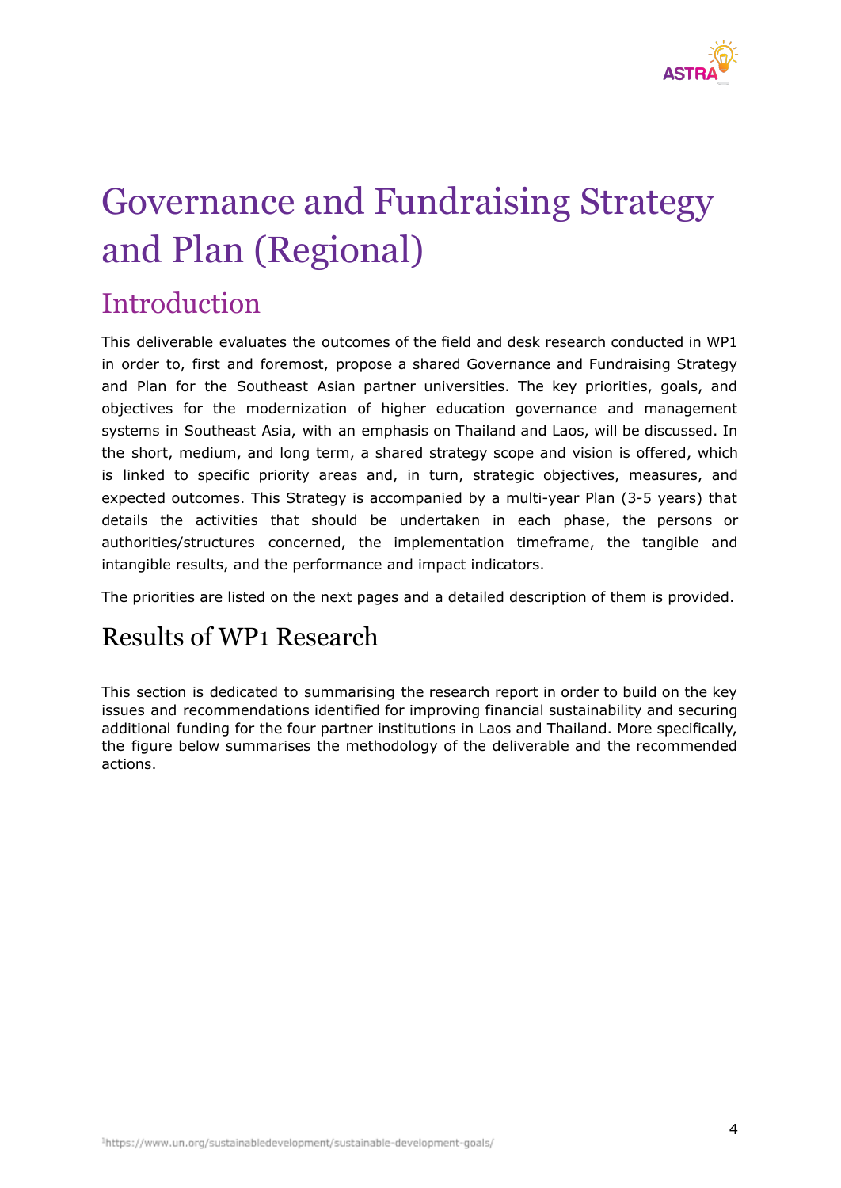

## Governance and Fundraising Strategy and Plan (Regional)

## <span id="page-3-0"></span>**Introduction**

This deliverable evaluates the outcomes of the field and desk research conducted in WP1 in order to, first and foremost, propose a shared Governance and Fundraising Strategy and Plan for the Southeast Asian partner universities. The key priorities, goals, and objectives for the modernization of higher education governance and management systems in Southeast Asia, with an emphasis on Thailand and Laos, will be discussed. In the short, medium, and long term, a shared strategy scope and vision is offered, which is linked to specific priority areas and, in turn, strategic objectives, measures, and expected outcomes. This Strategy is accompanied by a multi-year Plan (3-5 years) that details the activities that should be undertaken in each phase, the persons or authorities/structures concerned, the implementation timeframe, the tangible and intangible results, and the performance and impact indicators.

The priorities are listed on the next pages and a detailed description of them is provided.

## Results of WP1 Research

<span id="page-3-1"></span>This section is dedicated to summarising the research report in order to build on the key issues and recommendations identified for improving financial sustainability and securing additional funding for the four partner institutions in Laos and Thailand. More specifically, the figure below summarises the methodology of the deliverable and the recommended actions.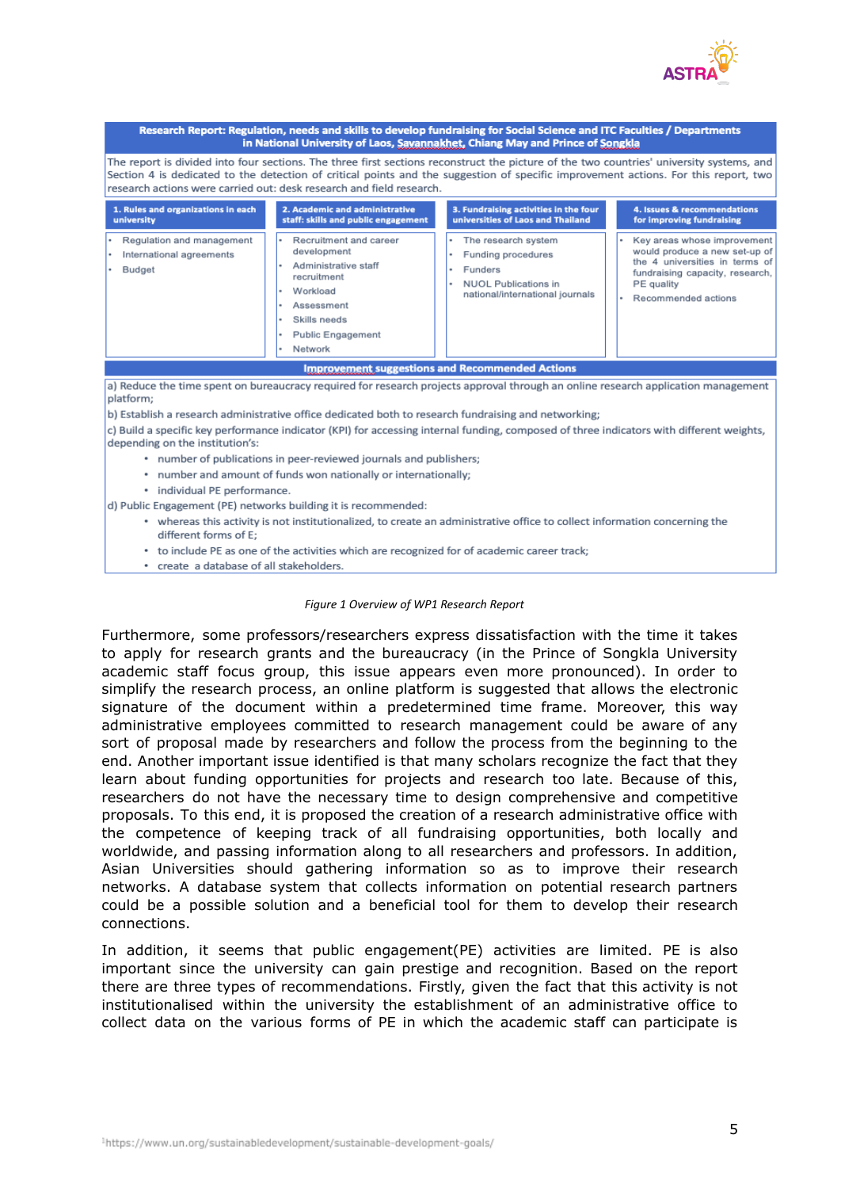

| Research Report: Regulation, needs and skills to develop fundraising for Social Science and ITC Faculties / Departments<br>in National University of Laos, Savannakhet, Chiang May and Prince of Songkla                                                                                                                                                |                                                                                                                                                               |                                                                                                                             |                                                                                                                                                                        |  |  |  |  |
|---------------------------------------------------------------------------------------------------------------------------------------------------------------------------------------------------------------------------------------------------------------------------------------------------------------------------------------------------------|---------------------------------------------------------------------------------------------------------------------------------------------------------------|-----------------------------------------------------------------------------------------------------------------------------|------------------------------------------------------------------------------------------------------------------------------------------------------------------------|--|--|--|--|
| The report is divided into four sections. The three first sections reconstruct the picture of the two countries' university systems, and<br>Section 4 is dedicated to the detection of critical points and the suggestion of specific improvement actions. For this report, two<br>research actions were carried out: desk research and field research. |                                                                                                                                                               |                                                                                                                             |                                                                                                                                                                        |  |  |  |  |
| 1. Rules and organizations in each<br>university                                                                                                                                                                                                                                                                                                        | 2. Academic and administrative<br>staff: skills and public engagement                                                                                         | 3. Fundraising activities in the four<br>universities of Laos and Thailand                                                  | 4. Issues & recommendations<br>for improving fundraising                                                                                                               |  |  |  |  |
| • Regulation and management<br>International agreements<br>Budget                                                                                                                                                                                                                                                                                       | Recruitment and career<br>development<br>Administrative staff<br>recruitment<br>Workload<br>Assessment<br>Skills needs<br><b>Public Engagement</b><br>Network | The research system<br>Funding procedures<br>Funders<br><b>NUOL Publications in</b><br>٠<br>national/international journals | Key areas whose improvement<br>would produce a new set-up of<br>the 4 universities in terms of<br>fundraising capacity, research,<br>PE quality<br>Recommended actions |  |  |  |  |
| <b>Improvement suggestions and Recommended Actions</b>                                                                                                                                                                                                                                                                                                  |                                                                                                                                                               |                                                                                                                             |                                                                                                                                                                        |  |  |  |  |
| a) Reduce the time spent on bureaucracy required for research projects approval through an online research application management<br>platform;<br>b) Establish a research administrative office dedicated both to research fundraising and networking;                                                                                                  |                                                                                                                                                               |                                                                                                                             |                                                                                                                                                                        |  |  |  |  |
| c) Build a specific key performance indicator (KPI) for accessing internal funding, composed of three indicators with different weights,<br>depending on the institution's:                                                                                                                                                                             |                                                                                                                                                               |                                                                                                                             |                                                                                                                                                                        |  |  |  |  |
| • number of publications in peer-reviewed journals and publishers;                                                                                                                                                                                                                                                                                      |                                                                                                                                                               |                                                                                                                             |                                                                                                                                                                        |  |  |  |  |
| • number and amount of funds won nationally or internationally;                                                                                                                                                                                                                                                                                         |                                                                                                                                                               |                                                                                                                             |                                                                                                                                                                        |  |  |  |  |
| • individual PE performance.                                                                                                                                                                                                                                                                                                                            |                                                                                                                                                               |                                                                                                                             |                                                                                                                                                                        |  |  |  |  |
| d) Public Engagement (PE) networks building it is recommended:                                                                                                                                                                                                                                                                                          |                                                                                                                                                               |                                                                                                                             |                                                                                                                                                                        |  |  |  |  |
| • whereas this activity is not institutionalized, to create an administrative office to collect information concerning the<br>different forms of E:                                                                                                                                                                                                     |                                                                                                                                                               |                                                                                                                             |                                                                                                                                                                        |  |  |  |  |

- to include PE as one of the activities which are recognized for of academic career track;
- create a database of all stakeholders.

#### *Figure 1 Overview of WP1 Research Report*

Furthermore, some professors/researchers express dissatisfaction with the time it takes to apply for research grants and the bureaucracy (in the Prince of Songkla University academic staff focus group, this issue appears even more pronounced). In order to simplify the research process, an online platform is suggested that allows the electronic signature of the document within a predetermined time frame. Moreover, this way administrative employees committed to research management could be aware of any sort of proposal made by researchers and follow the process from the beginning to the end. Another important issue identified is that many scholars recognize the fact that they learn about funding opportunities for projects and research too late. Because of this, researchers do not have the necessary time to design comprehensive and competitive proposals. Το this end, it is proposed the creation of a research administrative office with the competence of keeping track of all fundraising opportunities, both locally and worldwide, and passing information along to all researchers and professors. In addition, Asian Universities should gathering information so as to improve their research networks. A database system that collects information on potential research partners could be a possible solution and a beneficial tool for them to develop their research connections.

In addition, it seems that public engagement(PE) activities are limited. PE is also important since the university can gain prestige and recognition. Based on the report there are three types of recommendations. Firstly, given the fact that this activity is not institutionalised within the university the establishment of an administrative office to collect data on the various forms of PE in which the academic staff can participate is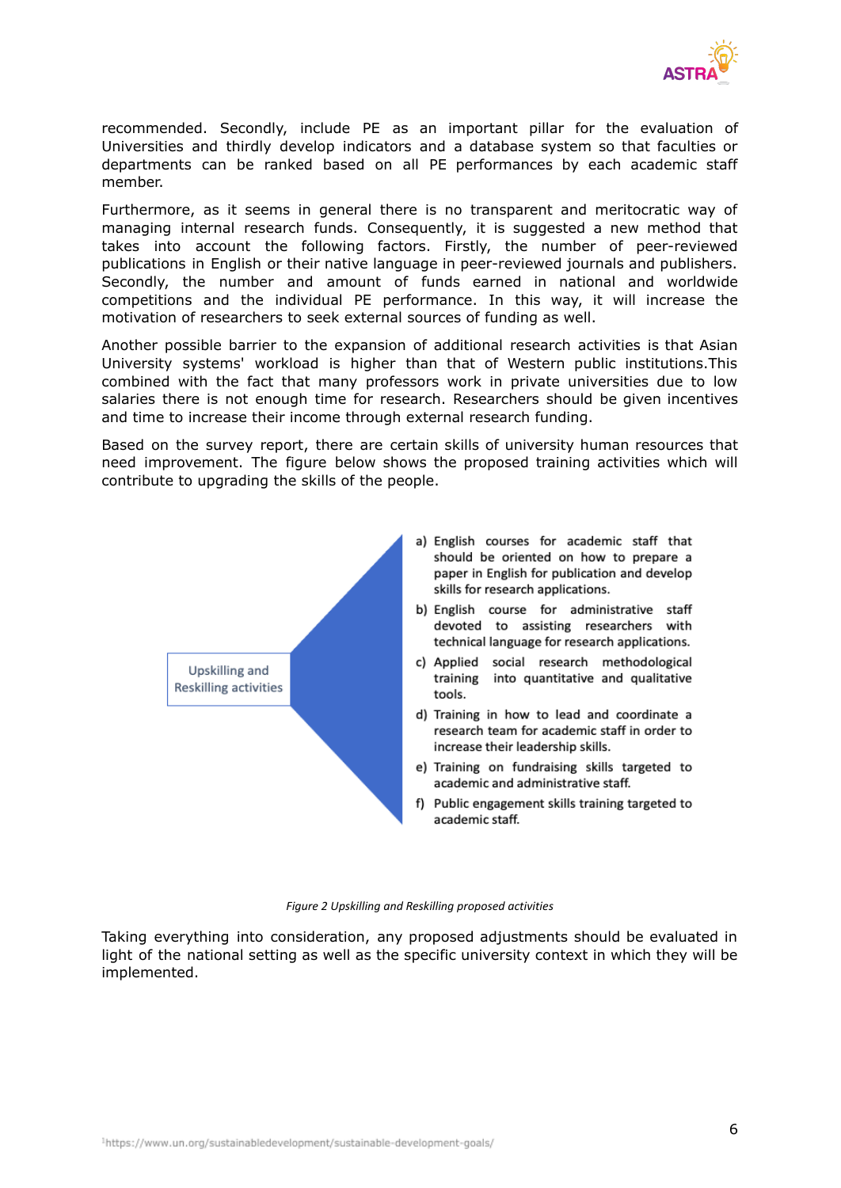

recommended. Secondly, include PE as an important pillar for the evaluation of Universities and thirdly develop indicators and a database system so that faculties or departments can be ranked based on all PE performances by each academic staff member.

Furthermore, as it seems in general there is no transparent and meritocratic way of managing internal research funds. Consequently, it is suggested a new method that takes into account the following factors. Firstly, the number of peer-reviewed publications in English or their native language in peer-reviewed journals and publishers. Secondly, the number and amount of funds earned in national and worldwide competitions and the individual PE performance. In this way, it will increase the motivation of researchers to seek external sources of funding as well.

Another possible barrier to the expansion of additional research activities is that Asian University systems' workload is higher than that of Western public institutions.This combined with the fact that many professors work in private universities due to low salaries there is not enough time for research. Researchers should be given incentives and time to increase their income through external research funding.

Based on the survey report, there are certain skills of university human resources that need improvement. The figure below shows the proposed training activities which will contribute to upgrading the skills of the people.



#### *Figure 2 Upskilling and Reskilling proposed activities*

Taking everything into consideration, any proposed adjustments should be evaluated in light of the national setting as well as the specific university context in which they will be implemented.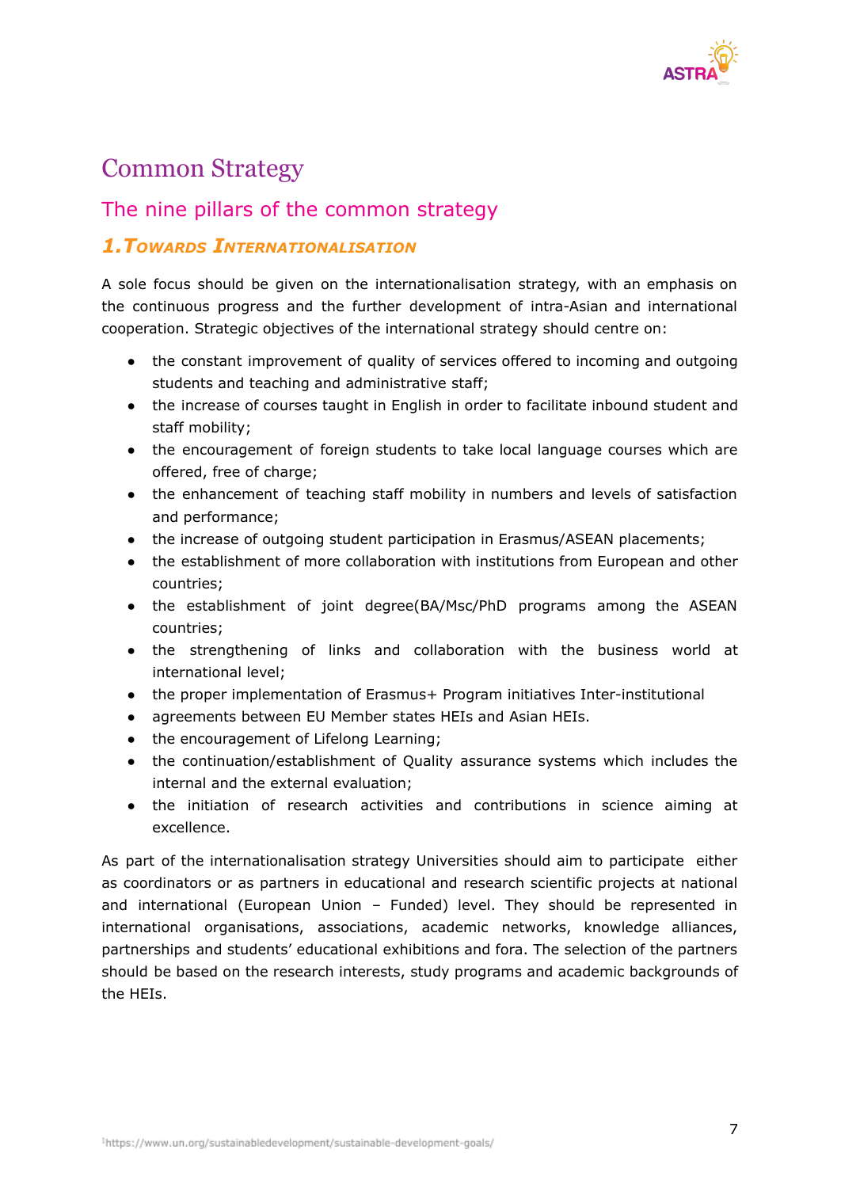

## <span id="page-6-0"></span>Common Strategy

#### <span id="page-6-1"></span>The nine pillars of the common strategy

#### <span id="page-6-2"></span>*1.TOWARDS INTERNATIONALISATION*

A sole focus should be given on the internationalisation strategy, with an emphasis on the continuous progress and the further development of intra-Asian and international cooperation. Strategic objectives of the international strategy should centre on:

- the constant improvement of quality of services offered to incoming and outgoing students and teaching and administrative staff;
- the increase of courses taught in English in order to facilitate inbound student and staff mobility;
- the encouragement of foreign students to take local language courses which are offered, free of charge;
- the enhancement of teaching staff mobility in numbers and levels of satisfaction and performance;
- the increase of outgoing student participation in Erasmus/ASEAN placements;
- the establishment of more collaboration with institutions from European and other countries;
- the establishment of joint degree(BA/Msc/PhD programs among the ASEAN countries;
- the strengthening of links and collaboration with the business world at international level;
- the proper implementation of Erasmus+ Program initiatives Inter-institutional
- agreements between EU Member states HEIs and Asian HEIs.
- the encouragement of Lifelong Learning;
- the continuation/establishment of Quality assurance systems which includes the internal and the external evaluation;
- the initiation of research activities and contributions in science aiming at excellence.

As part of the internationalisation strategy Universities should aim to participate either as coordinators or as partners in educational and research scientific projects at national and international (European Union – Funded) level. They should be represented in international organisations, associations, academic networks, knowledge alliances, partnerships and students' educational exhibitions and fora. The selection of the partners should be based on the research interests, study programs and academic backgrounds of the HEIs.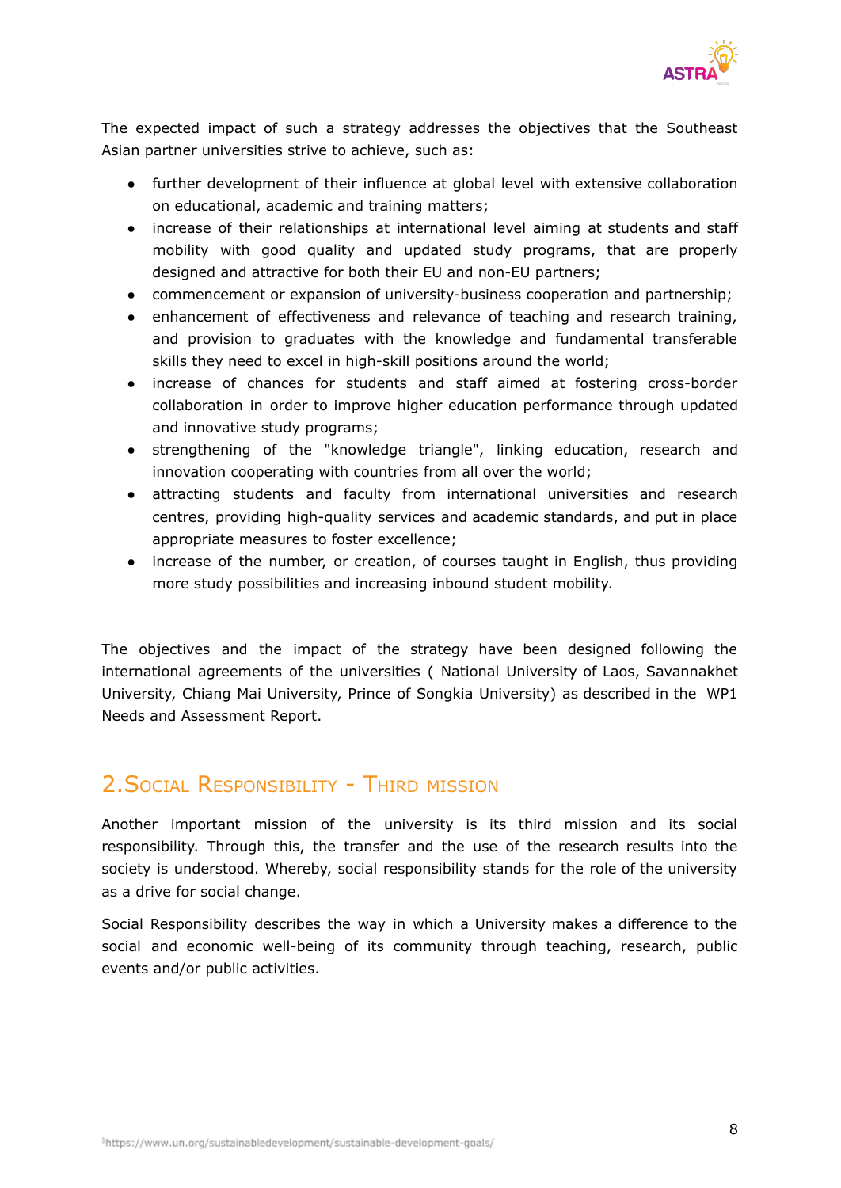

The expected impact of such a strategy addresses the objectives that the Southeast Asian partner universities strive to achieve, such as:

- further development of their influence at global level with extensive collaboration on educational, academic and training matters;
- increase of their relationships at international level aiming at students and staff mobility with good quality and updated study programs, that are properly designed and attractive for both their EU and non-EU partners;
- commencement or expansion of university-business cooperation and partnership;
- enhancement of effectiveness and relevance of teaching and research training, and provision to graduates with the knowledge and fundamental transferable skills they need to excel in high-skill positions around the world;
- increase of chances for students and staff aimed at fostering cross-border collaboration in order to improve higher education performance through updated and innovative study programs;
- strengthening of the "knowledge triangle", linking education, research and innovation cooperating with countries from all over the world;
- attracting students and faculty from international universities and research centres, providing high-quality services and academic standards, and put in place appropriate measures to foster excellence;
- increase of the number, or creation, of courses taught in English, thus providing more study possibilities and increasing inbound student mobility.

The objectives and the impact of the strategy have been designed following the international agreements of the universities ( National University of Laos, Savannakhet University, Chiang Mai University, Prince of Songkia University) as described in the WP1 Needs and Assessment Report.

## 2. SOCIAL RESPONSIBILITY - THIRD MISSION

Another important mission of the university is its third mission and its social responsibility. Through this, the transfer and the use of the research results into the society is understood. Whereby, social responsibility stands for the role of the university as a drive for social change.

Social Responsibility describes the way in which a University makes a difference to the social and economic well-being of its community through teaching, research, public events and/or public activities.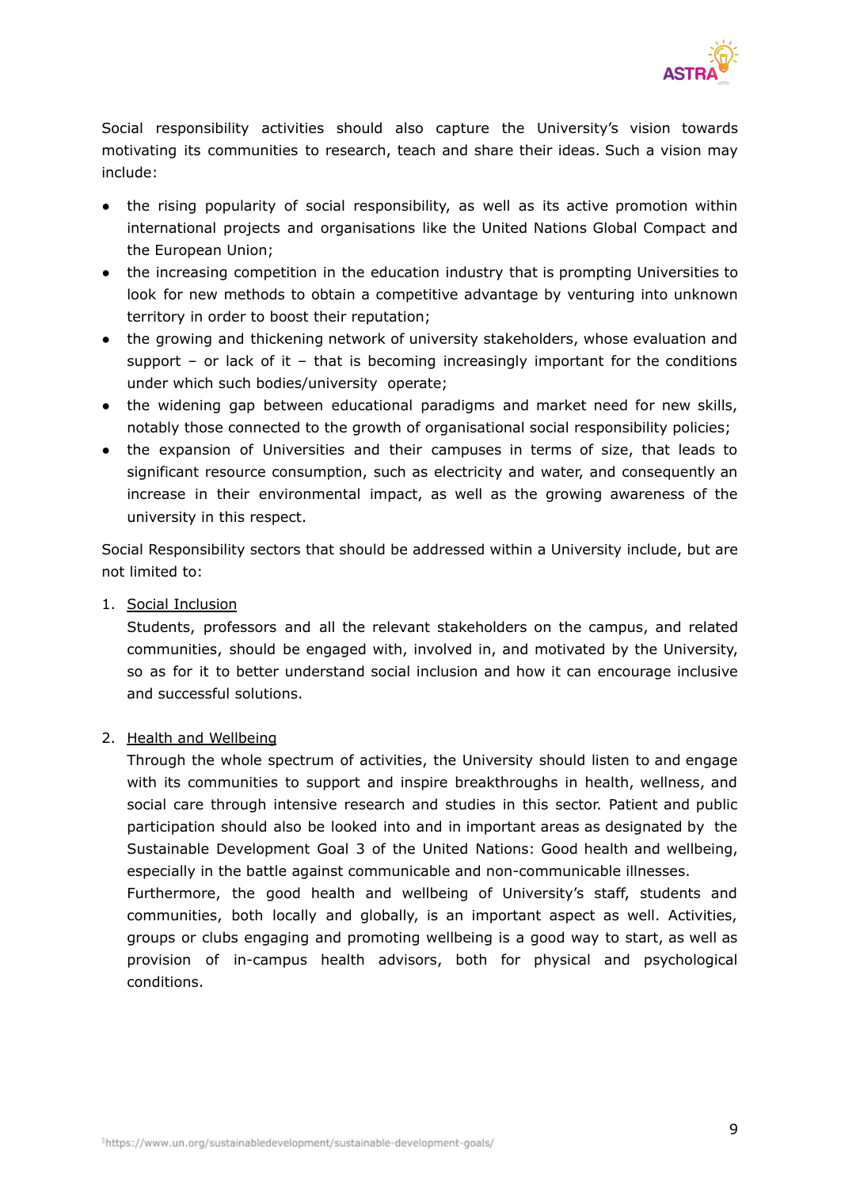

Social responsibility activities should also capture the University's vision towards motivating its communities to research, teach and share their ideas. Such a vision may include:

- the rising popularity of social responsibility, as well as its active promotion within international projects and organisations like the United Nations Global Compact and the European Union;
- the increasing competition in the education industry that is prompting Universities to look for new methods to obtain a competitive advantage by venturing into unknown territory in order to boost their reputation;
- the growing and thickening network of university stakeholders, whose evaluation and support – or lack of it – that is becoming increasingly important for the conditions under which such bodies/university operate;
- the widening gap between educational paradigms and market need for new skills, notably those connected to the growth of organisational social responsibility policies;
- the expansion of Universities and their campuses in terms of size, that leads to significant resource consumption, such as electricity and water, and consequently an increase in their environmental impact, as well as the growing awareness of the university in this respect.

Social Responsibility sectors that should be addressed within a University include, but are not limited to:

1. Social Inclusion

Students, professors and all the relevant stakeholders on the campus, and related communities, should be engaged with, involved in, and motivated by the University, so as for it to better understand social inclusion and how it can encourage inclusive and successful solutions.

#### 2. Health and Wellbeing

Through the whole spectrum of activities, the University should listen to and engage with its communities to support and inspire breakthroughs in health, wellness, and social care through intensive research and studies in this sector. Patient and public participation should also be looked into and in important areas as designated by the Sustainable Development Goal 3 of the United Nations: Good health and wellbeing, especially in the battle against communicable and non-communicable illnesses.

Furthermore, the good health and wellbeing of University's staff, students and communities, both locally and globally, is an important aspect as well. Activities, groups or clubs engaging and promoting wellbeing is a good way to start, as well as provision of in-campus health advisors, both for physical and psychological conditions.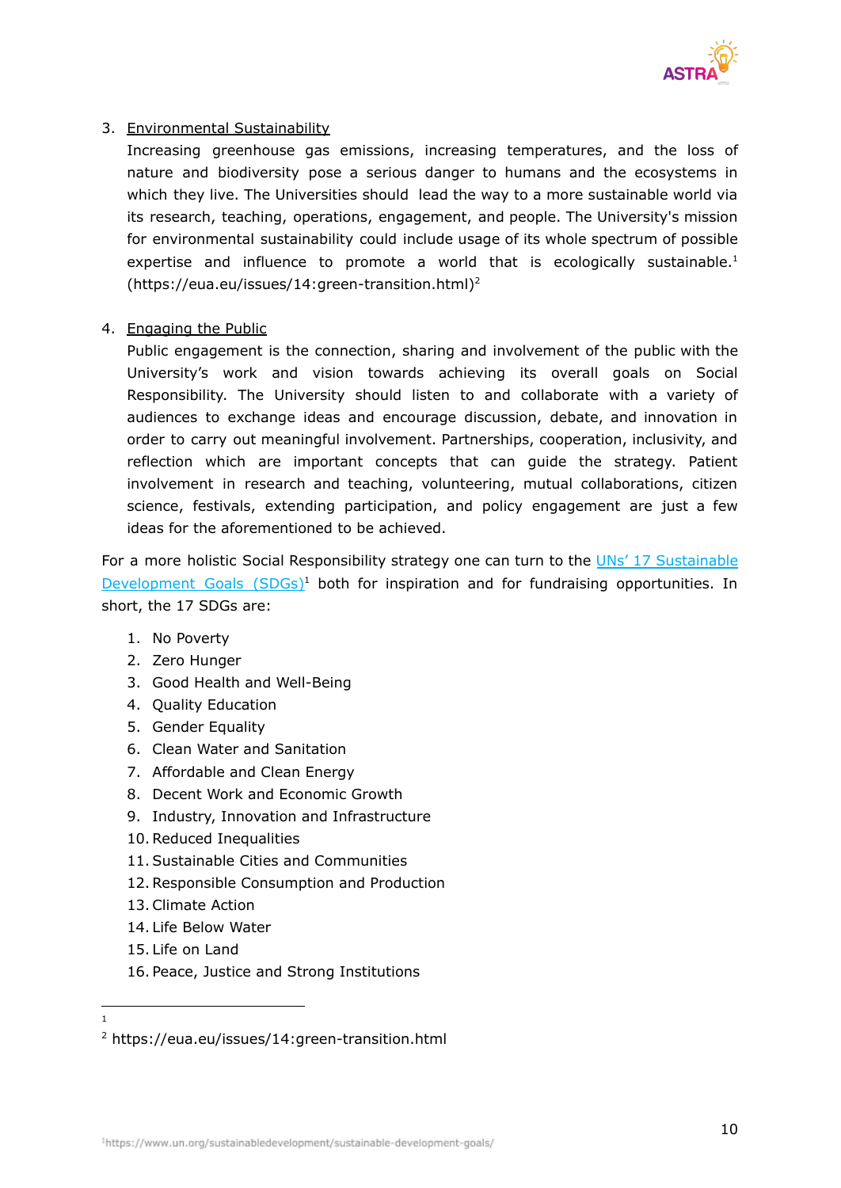

#### 3. Environmental Sustainability

Increasing greenhouse gas emissions, increasing temperatures, and the loss of nature and biodiversity pose a serious danger to humans and the ecosystems in which they live. The Universities should lead the way to a more sustainable world via its research, teaching, operations, engagement, and people. The University's mission for environmental sustainability could include usage of its whole spectrum of possible expertise and influence to promote a world that is ecologically sustainable.<sup>1</sup>  $(htips://eua.eu/issues/14:green-transition.html)^2$ 

#### 4. Engaging the Public

Public engagement is the connection, sharing and involvement of the public with the University's work and vision towards achieving its overall goals on Social Responsibility. The University should listen to and collaborate with a variety of audiences to exchange ideas and encourage discussion, debate, and innovation in order to carry out meaningful involvement. Partnerships, cooperation, inclusivity, and reflection which are important concepts that can guide the strategy. Patient involvement in research and teaching, volunteering, mutual collaborations, citizen science, festivals, extending participation, and policy engagement are just a few ideas for the aforementioned to be achieved.

For a more holistic Social Responsibility strategy one can turn to the UNs' 17 [Sustainable](https://www.un.org/sustainabledevelopment/sustainable-development-goals/) [Development](https://www.un.org/sustainabledevelopment/sustainable-development-goals/) Goals  $(SDGs)^1$  both for inspiration and for fundraising opportunities. In short, the 17 SDGs are:

- 1. No Poverty
- 2. Zero Hunger
- 3. Good Health and Well-Being
- 4. Quality Education
- 5. Gender Equality
- 6. Clean Water and Sanitation
- 7. Affordable and Clean Energy
- 8. Decent Work and Economic Growth
- 9. Industry, Innovation and Infrastructure
- 10.Reduced Inequalities
- 11.Sustainable Cities and Communities
- 12.Responsible Consumption and Production
- 13.Climate Action
- 14. Life Below Water
- 15. Life on Land
- 16. Peace, Justice and Strong Institutions

1

<sup>2</sup> https://eua.eu/issues/14:green-transition.html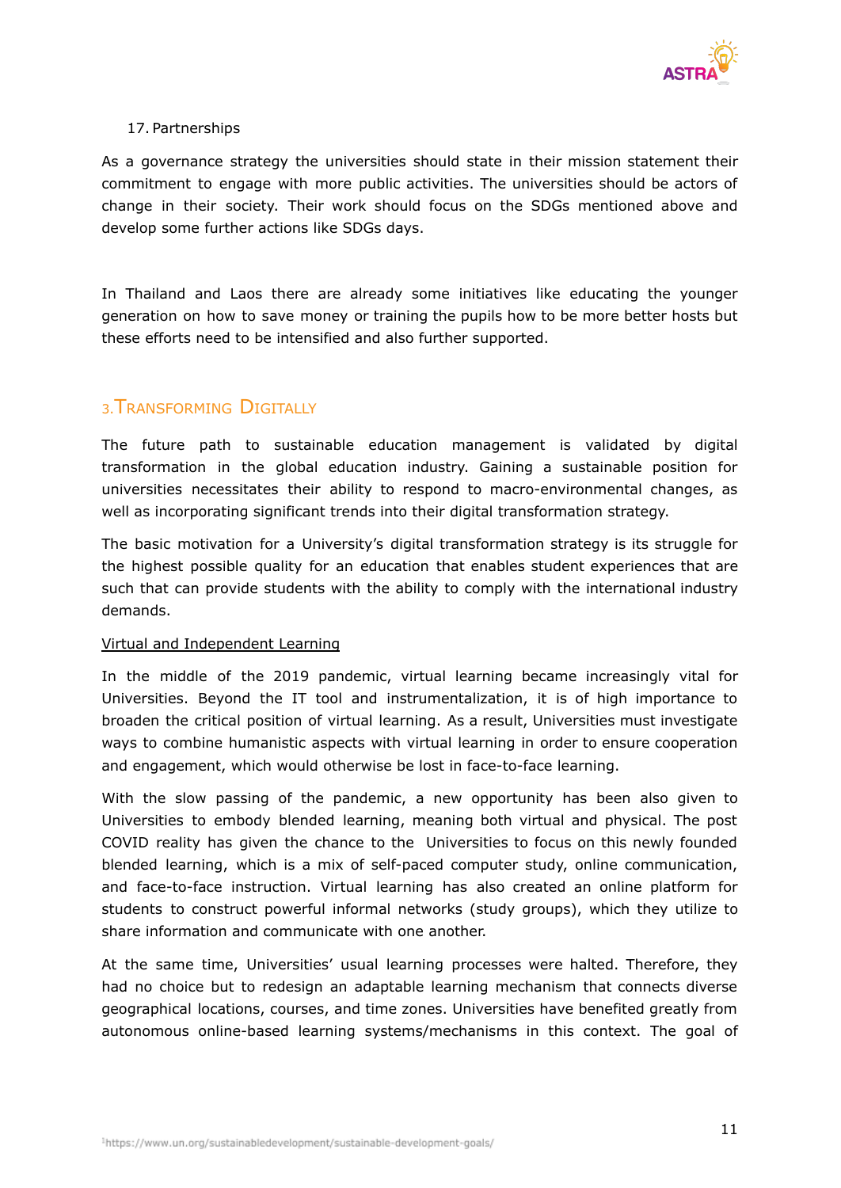

#### 17. Partnerships

As a governance strategy the universities should state in their mission statement their commitment to engage with more public activities. The universities should be actors of change in their society. Their work should focus on the SDGs mentioned above and develop some further actions like SDGs days.

In Thailand and Laos there are already some initiatives like educating the younger generation on how to save money or training the pupils how to be more better hosts but these efforts need to be intensified and also further supported.

#### <span id="page-10-0"></span>3.TRANSFORMING DIGITALLY

The future path to sustainable education management is validated by digital transformation in the global education industry. Gaining a sustainable position for universities necessitates their ability to respond to macro-environmental changes, as well as incorporating significant trends into their digital transformation strategy.

The basic motivation for a University's digital transformation strategy is its struggle for the highest possible quality for an education that enables student experiences that are such that can provide students with the ability to comply with the international industry demands.

#### Virtual and Independent Learning

In the middle of the 2019 pandemic, virtual learning became increasingly vital for Universities. Beyond the IT tool and instrumentalization, it is of high importance to broaden the critical position of virtual learning. As a result, Universities must investigate ways to combine humanistic aspects with virtual learning in order to ensure cooperation and engagement, which would otherwise be lost in face-to-face learning.

With the slow passing of the pandemic, a new opportunity has been also given to Universities to embody blended learning, meaning both virtual and physical. The post COVID reality has given the chance to the Universities to focus on this newly founded blended learning, which is a mix of self-paced computer study, online communication, and face-to-face instruction. Virtual learning has also created an online platform for students to construct powerful informal networks (study groups), which they utilize to share information and communicate with one another.

At the same time, Universities' usual learning processes were halted. Therefore, they had no choice but to redesign an adaptable learning mechanism that connects diverse geographical locations, courses, and time zones. Universities have benefited greatly from autonomous online-based learning systems/mechanisms in this context. The goal of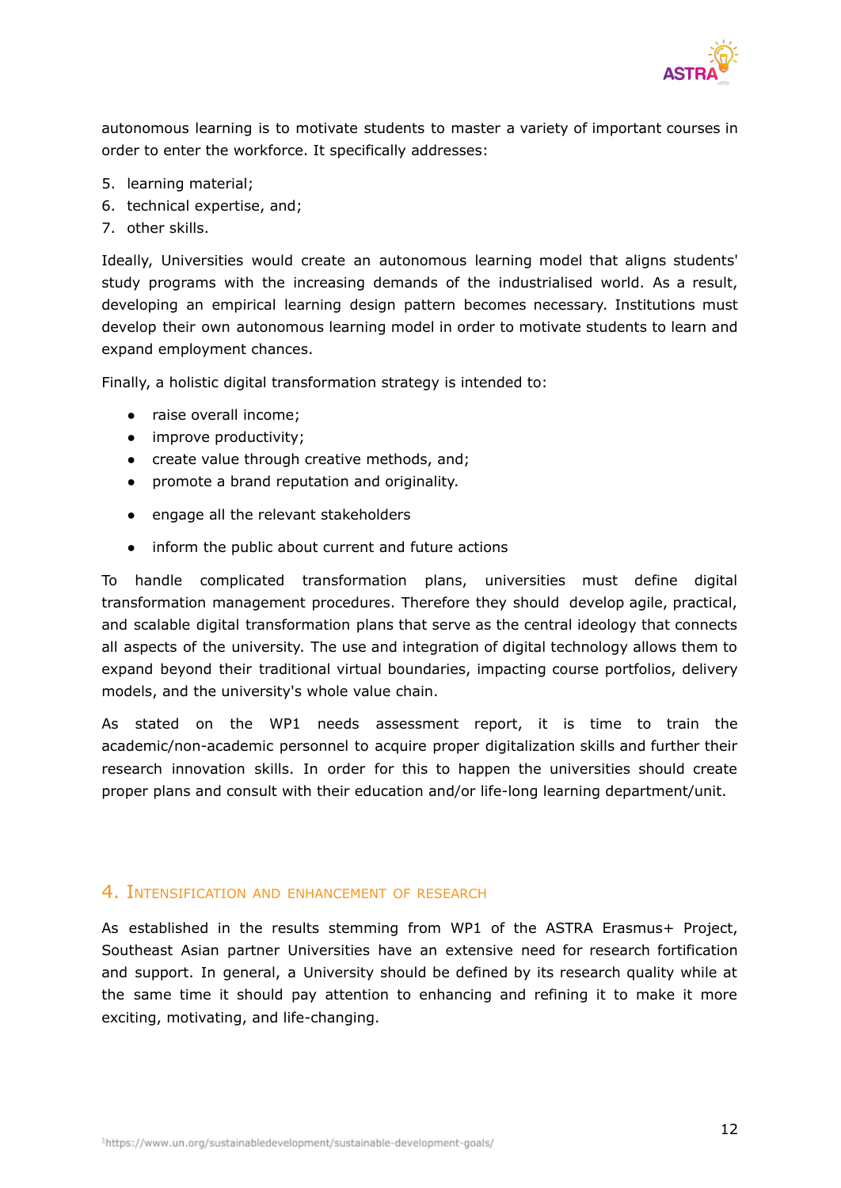

autonomous learning is to motivate students to master a variety of important courses in order to enter the workforce. It specifically addresses:

- 5. learning material;
- 6. technical expertise, and;
- 7. other skills.

Ideally, Universities would create an autonomous learning model that aligns students' study programs with the increasing demands of the industrialised world. As a result, developing an empirical learning design pattern becomes necessary. Institutions must develop their own autonomous learning model in order to motivate students to learn and expand employment chances.

Finally, a holistic digital transformation strategy is intended to:

- raise overall income;
- improve productivity;
- create value through creative methods, and;
- promote a brand reputation and originality.
- engage all the relevant stakeholders
- inform the public about current and future actions

To handle complicated transformation plans, universities must define digital transformation management procedures. Therefore they should develop agile, practical, and scalable digital transformation plans that serve as the central ideology that connects all aspects of the university. The use and integration of digital technology allows them to expand beyond their traditional virtual boundaries, impacting course portfolios, delivery models, and the university's whole value chain.

As stated on the WP1 needs assessment report, it is time to train the academic/non-academic personnel to acquire proper digitalization skills and further their research innovation skills. In order for this to happen the universities should create proper plans and consult with their education and/or life-long learning department/unit.

#### <span id="page-11-0"></span>4. INTENSIFICATION AND ENHANCEMENT OF RESEARCH

As established in the results stemming from WP1 of the ASTRA Erasmus+ Project, Southeast Asian partner Universities have an extensive need for research fortification and support. In general, a University should be defined by its research quality while at the same time it should pay attention to enhancing and refining it to make it more exciting, motivating, and life-changing.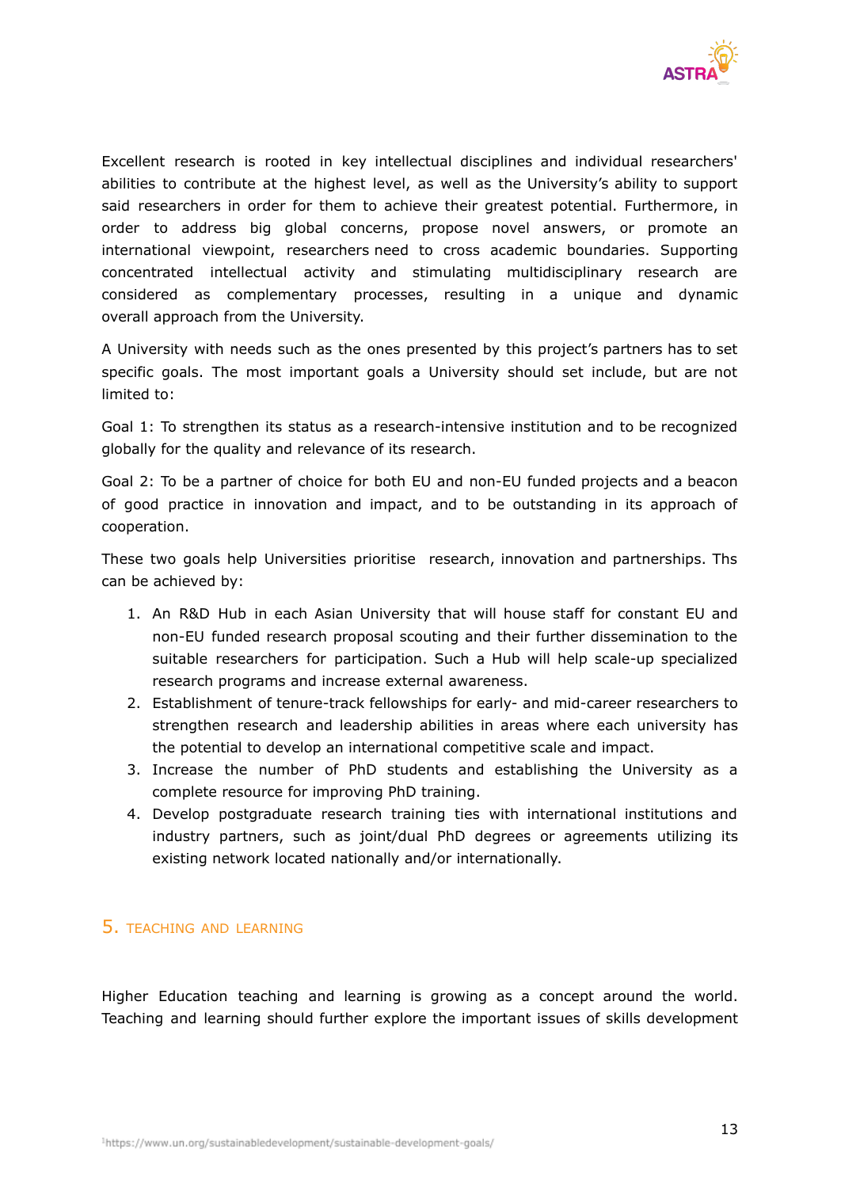

Excellent research is rooted in key intellectual disciplines and individual researchers' abilities to contribute at the highest level, as well as the University's ability to support said researchers in order for them to achieve their greatest potential. Furthermore, in order to address big global concerns, propose novel answers, or promote an international viewpoint, researchers need to cross academic boundaries. Supporting concentrated intellectual activity and stimulating multidisciplinary research are considered as complementary processes, resulting in a unique and dynamic overall approach from the University.

A University with needs such as the ones presented by this project's partners has to set specific goals. The most important goals a University should set include, but are not limited to:

Goal 1: To strengthen its status as a research-intensive institution and to be recognized globally for the quality and relevance of its research.

Goal 2: To be a partner of choice for both EU and non-EU funded projects and a beacon of good practice in innovation and impact, and to be outstanding in its approach of cooperation.

These two goals help Universities prioritise research, innovation and partnerships. Ths can be achieved by:

- 1. An R&D Hub in each Asian University that will house staff for constant EU and non-EU funded research proposal scouting and their further dissemination to the suitable researchers for participation. Such a Hub will help scale-up specialized research programs and increase external awareness.
- 2. Establishment of tenure-track fellowships for early- and mid-career researchers to strengthen research and leadership abilities in areas where each university has the potential to develop an international competitive scale and impact.
- 3. Increase the number of PhD students and establishing the University as a complete resource for improving PhD training.
- 4. Develop postgraduate research training ties with international institutions and industry partners, such as joint/dual PhD degrees or agreements utilizing its existing network located nationally and/or internationally.

#### <span id="page-12-0"></span>5. TEACHING AND LEARNING

Higher Education teaching and learning is growing as a concept around the world. Teaching and learning should further explore the important issues of skills development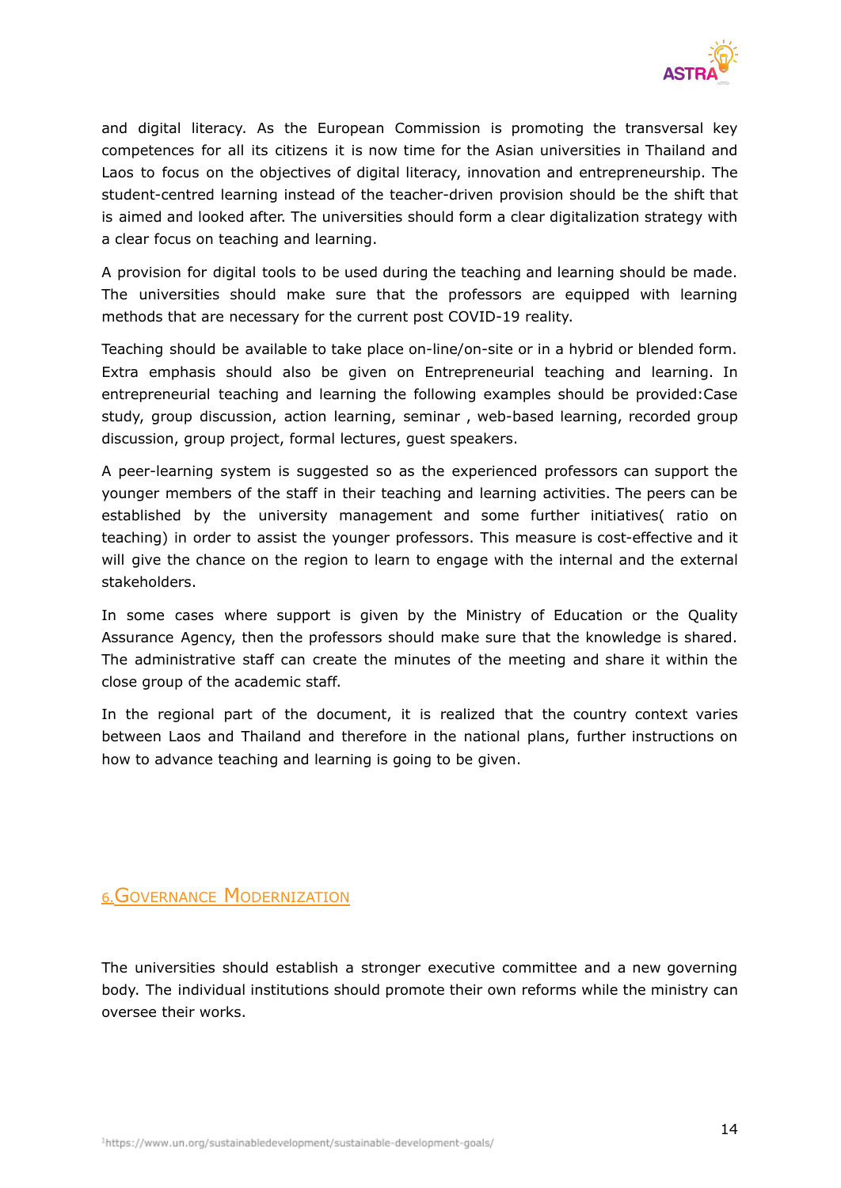

and digital literacy. As the European Commission is promoting the transversal key competences for all its citizens it is now time for the Asian universities in Thailand and Laos to focus on the objectives of digital literacy, innovation and entrepreneurship. The student-centred learning instead of the teacher-driven provision should be the shift that is aimed and looked after. The universities should form a clear digitalization strategy with a clear focus on teaching and learning.

A provision for digital tools to be used during the teaching and learning should be made. The universities should make sure that the professors are equipped with learning methods that are necessary for the current post COVID-19 reality.

Teaching should be available to take place on-line/on-site or in a hybrid or blended form. Extra emphasis should also be given on Entrepreneurial teaching and learning. In entrepreneurial teaching and learning the following examples should be provided:Case study, group discussion, action learning, seminar , web-based learning, recorded group discussion, group project, formal lectures, guest speakers.

A peer-learning system is suggested so as the experienced professors can support the younger members of the staff in their teaching and learning activities. The peers can be established by the university management and some further initiatives( ratio on teaching) in order to assist the younger professors. This measure is cost-effective and it will give the chance on the region to learn to engage with the internal and the external stakeholders.

In some cases where support is given by the Ministry of Education or the Quality Assurance Agency, then the professors should make sure that the knowledge is shared. The administrative staff can create the minutes of the meeting and share it within the close group of the academic staff.

In the regional part of the document, it is realized that the country context varies between Laos and Thailand and therefore in the national plans, further instructions on how to advance teaching and learning is going to be given.

#### <span id="page-13-0"></span>6.GOVERNANCE MODERNIZATION

The universities should establish a stronger executive committee and a new governing body. The individual institutions should promote their own reforms while the ministry can oversee their works.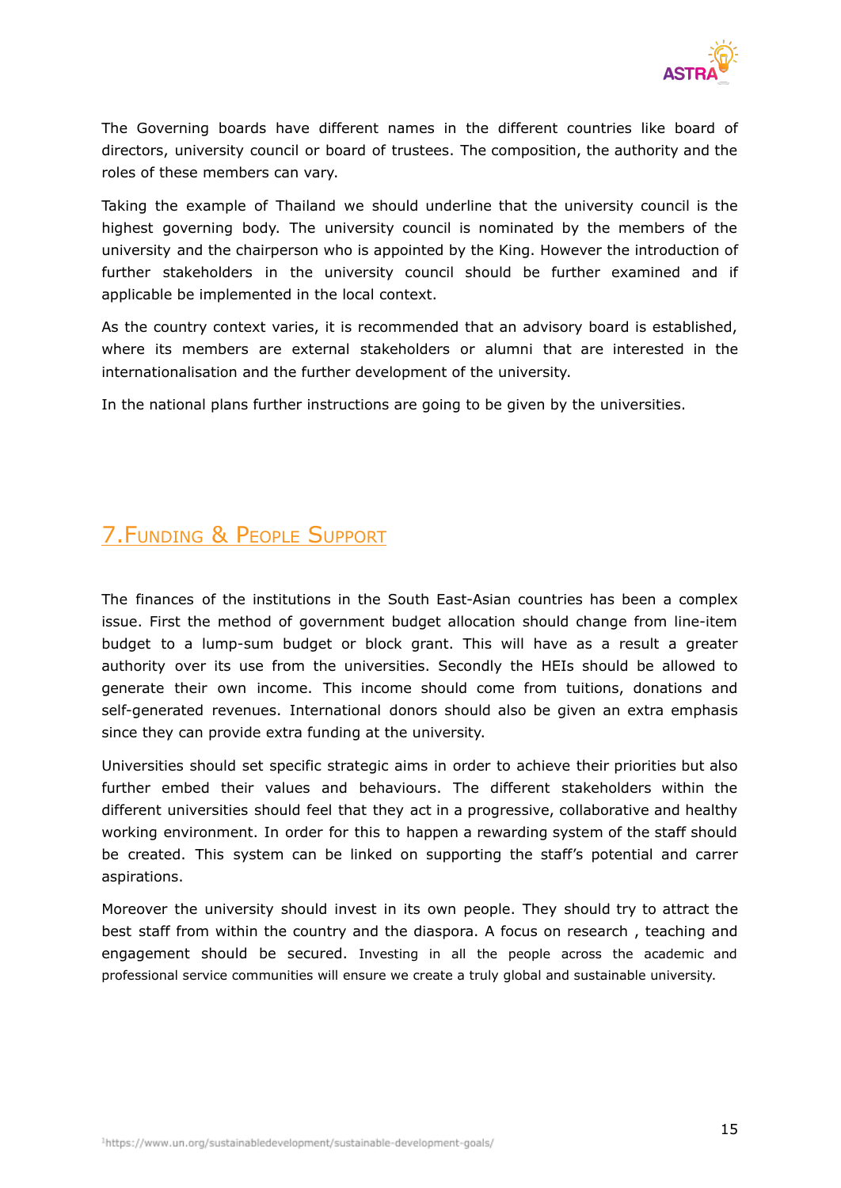

The Governing boards have different names in the different countries like board of directors, university council or board of trustees. The composition, the authority and the roles of these members can vary.

Taking the example of Thailand we should underline that the university council is the highest governing body. The university council is nominated by the members of the university and the chairperson who is appointed by the King. However the introduction of further stakeholders in the university council should be further examined and if applicable be implemented in the local context.

As the country context varies, it is recommended that an advisory board is established, where its members are external stakeholders or alumni that are interested in the internationalisation and the further development of the university.

In the national plans further instructions are going to be given by the universities.

## 7.FUNDING & PEOPLE SUPPORT

The finances of the institutions in the South East-Asian countries has been a complex issue. First the method of government budget allocation should change from line-item budget to a lump-sum budget or block grant. This will have as a result a greater authority over its use from the universities. Secondly the HEIs should be allowed to generate their own income. This income should come from tuitions, donations and self-generated revenues. International donors should also be given an extra emphasis since they can provide extra funding at the university.

Universities should set specific strategic aims in order to achieve their priorities but also further embed their values and behaviours. The different stakeholders within the different universities should feel that they act in a progressive, collaborative and healthy working environment. In order for this to happen a rewarding system of the staff should be created. This system can be linked on supporting the staff's potential and carrer aspirations.

Moreover the university should invest in its own people. They should try to attract the best staff from within the country and the diaspora. A focus on research , teaching and engagement should be secured. Investing in all the people across the academic and professional service communities will ensure we create a truly global and sustainable university.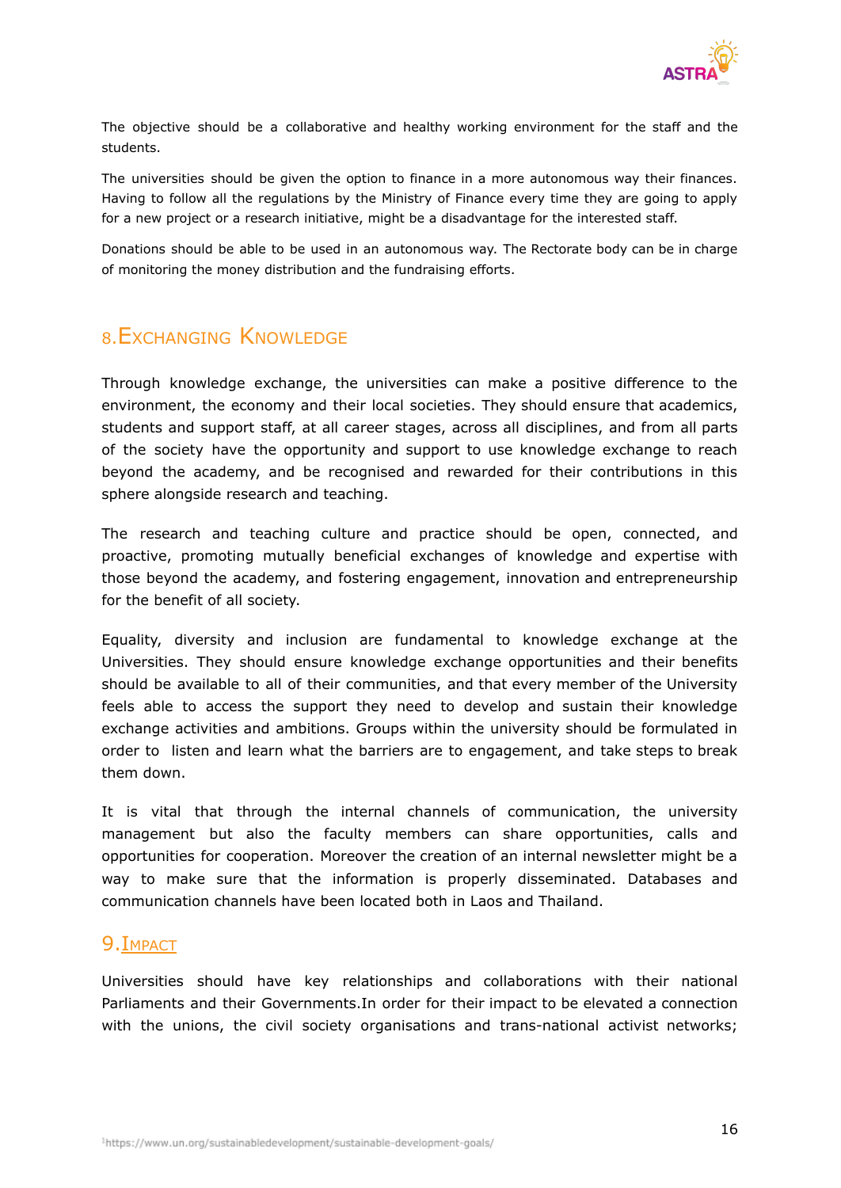

The objective should be a collaborative and healthy working environment for the staff and the students.

The universities should be given the option to finance in a more autonomous way their finances. Having to follow all the regulations by the Ministry of Finance every time they are going to apply for a new project or a research initiative, might be a disadvantage for the interested staff.

Donations should be able to be used in an autonomous way. The Rectorate body can be in charge of monitoring the money distribution and the fundraising efforts.

#### <span id="page-15-0"></span><sup>8</sup>.EXCHANGING KNOWLEDGE

Through knowledge exchange, the universities can make a positive difference to the environment, the economy and their local societies. They should ensure that academics, students and support staff, at all career stages, across all disciplines, and from all parts of the society have the opportunity and support to use knowledge exchange to reach beyond the academy, and be recognised and rewarded for their contributions in this sphere alongside research and teaching.

The research and teaching culture and practice should be open, connected, and proactive, promoting mutually beneficial exchanges of knowledge and expertise with those beyond the academy, and fostering engagement, innovation and entrepreneurship for the benefit of all society.

Equality, diversity and inclusion are fundamental to knowledge exchange at the Universities. They should ensure knowledge exchange opportunities and their benefits should be available to all of their communities, and that every member of the University feels able to access the support they need to develop and sustain their knowledge exchange activities and ambitions. Groups within the university should be formulated in order to listen and learn what the barriers are to engagement, and take steps to break them down.

It is vital that through the internal channels of communication, the university management but also the faculty members can share opportunities, calls and opportunities for cooperation. Moreover the creation of an internal newsletter might be a way to make sure that the information is properly disseminated. Databases and communication channels have been located both in Laos and Thailand.

#### <span id="page-15-1"></span>9.IMPACT

Universities should have key relationships and collaborations with their national Parliaments and their Governments.In order for their impact to be elevated a connection with the unions, the civil society organisations and trans-national activist networks;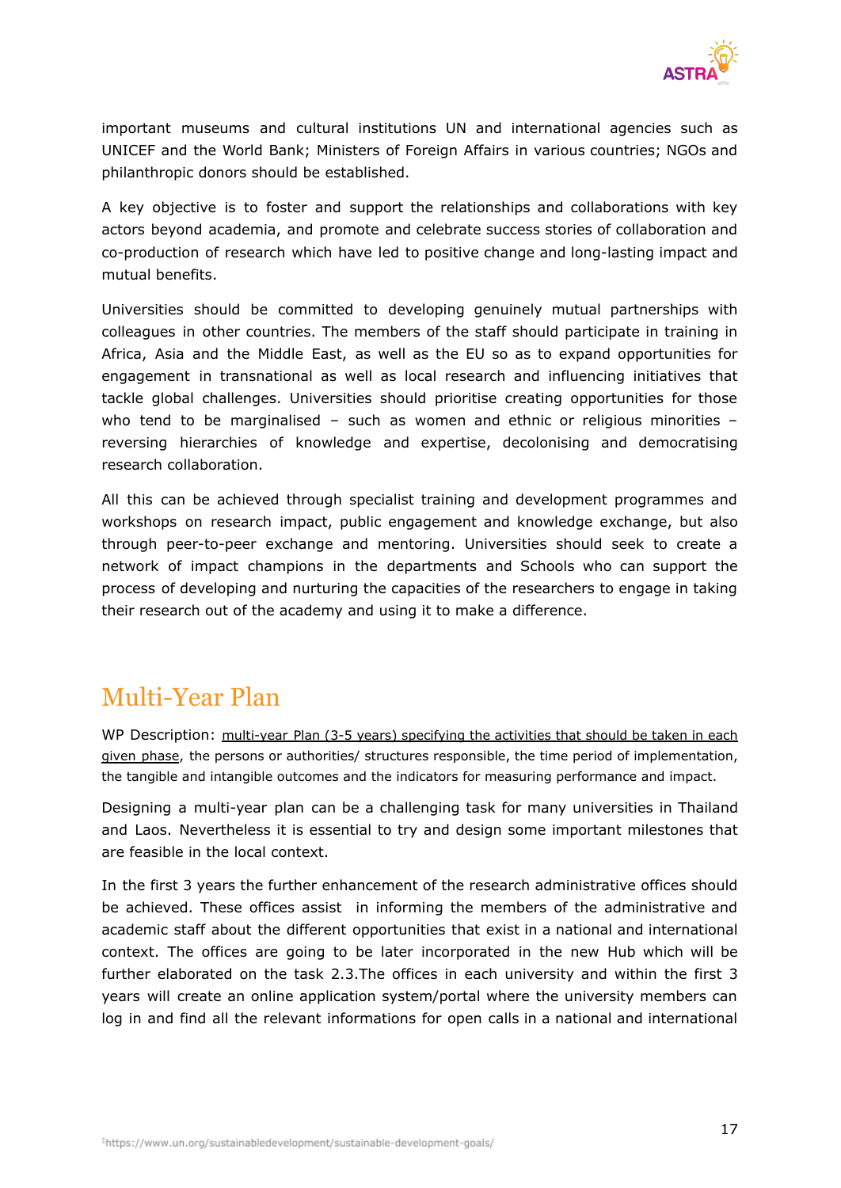

important museums and cultural institutions UN and international agencies such as UNICEF and the World Bank; Ministers of Foreign Affairs in various countries; NGOs and philanthropic donors should be established.

A key objective is to foster and support the relationships and collaborations with key actors beyond academia, and promote and celebrate success stories of collaboration and co-production of research which have led to positive change and long-lasting impact and mutual benefits.

Universities should be committed to developing genuinely mutual partnerships with colleagues in other countries. The members of the staff should participate in training in Africa, Asia and the Middle East, as well as the EU so as to expand opportunities for engagement in transnational as well as local research and influencing initiatives that tackle global challenges. Universities should prioritise creating opportunities for those who tend to be marginalised – such as women and ethnic or religious minorities – reversing hierarchies of knowledge and expertise, decolonising and democratising research collaboration.

All this can be achieved through specialist training and development programmes and workshops on research impact, public engagement and knowledge exchange, but also through peer-to-peer exchange and mentoring. Universities should seek to create a network of impact champions in the departments and Schools who can support the process of developing and nurturing the capacities of the researchers to engage in taking their research out of the academy and using it to make a difference.

## Multi-Year Plan

WP Description: multi-year Plan (3-5 years) specifying the activities that should be taken in each given phase, the persons or authorities/ structures responsible, the time period of implementation, the tangible and intangible outcomes and the indicators for measuring performance and impact.

Designing a multi-year plan can be a challenging task for many universities in Thailand and Laos. Nevertheless it is essential to try and design some important milestones that are feasible in the local context.

In the first 3 years the further enhancement of the research administrative offices should be achieved. These offices assist in informing the members of the administrative and academic staff about the different opportunities that exist in a national and international context. The offices are going to be later incorporated in the new Hub which will be further elaborated on the task 2.3.The offices in each university and within the first 3 years will create an online application system/portal where the university members can log in and find all the relevant informations for open calls in a national and international